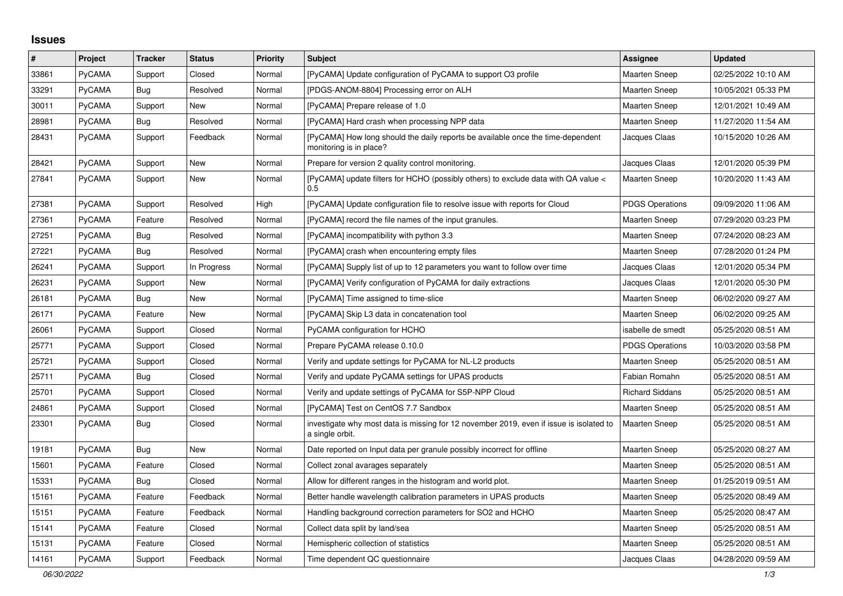## **Issues**

| $\vert$ # | Project       | <b>Tracker</b> | <b>Status</b> | <b>Priority</b> | <b>Subject</b>                                                                                             | Assignee               | <b>Updated</b>      |
|-----------|---------------|----------------|---------------|-----------------|------------------------------------------------------------------------------------------------------------|------------------------|---------------------|
| 33861     | <b>PyCAMA</b> | Support        | Closed        | Normal          | [PyCAMA] Update configuration of PyCAMA to support O3 profile                                              | <b>Maarten Sneep</b>   | 02/25/2022 10:10 AM |
| 33291     | <b>PyCAMA</b> | Bug            | Resolved      | Normal          | [PDGS-ANOM-8804] Processing error on ALH                                                                   | <b>Maarten Sneep</b>   | 10/05/2021 05:33 PM |
| 30011     | <b>PyCAMA</b> | Support        | New           | Normal          | [PyCAMA] Prepare release of 1.0                                                                            | <b>Maarten Sneep</b>   | 12/01/2021 10:49 AM |
| 28981     | PyCAMA        | Bug            | Resolved      | Normal          | [PyCAMA] Hard crash when processing NPP data                                                               | <b>Maarten Sneep</b>   | 11/27/2020 11:54 AM |
| 28431     | PyCAMA        | Support        | Feedback      | Normal          | [PyCAMA] How long should the daily reports be available once the time-dependent<br>monitoring is in place? | Jacques Claas          | 10/15/2020 10:26 AM |
| 28421     | <b>PyCAMA</b> | Support        | New           | Normal          | Prepare for version 2 quality control monitoring.                                                          | Jacques Claas          | 12/01/2020 05:39 PM |
| 27841     | <b>PyCAMA</b> | Support        | New           | Normal          | [PyCAMA] update filters for HCHO (possibly others) to exclude data with QA value <<br>0.5                  | <b>Maarten Sneep</b>   | 10/20/2020 11:43 AM |
| 27381     | PyCAMA        | Support        | Resolved      | High            | [PyCAMA] Update configuration file to resolve issue with reports for Cloud                                 | <b>PDGS Operations</b> | 09/09/2020 11:06 AM |
| 27361     | PyCAMA        | Feature        | Resolved      | Normal          | [PyCAMA] record the file names of the input granules.                                                      | <b>Maarten Sneep</b>   | 07/29/2020 03:23 PM |
| 27251     | PyCAMA        | <b>Bug</b>     | Resolved      | Normal          | [PyCAMA] incompatibility with python 3.3                                                                   | <b>Maarten Sneep</b>   | 07/24/2020 08:23 AM |
| 27221     | <b>PyCAMA</b> | Bug            | Resolved      | Normal          | [PyCAMA] crash when encountering empty files                                                               | <b>Maarten Sneep</b>   | 07/28/2020 01:24 PM |
| 26241     | <b>PyCAMA</b> | Support        | In Progress   | Normal          | [PyCAMA] Supply list of up to 12 parameters you want to follow over time                                   | Jacques Claas          | 12/01/2020 05:34 PM |
| 26231     | PyCAMA        | Support        | New           | Normal          | [PyCAMA] Verify configuration of PyCAMA for daily extractions                                              | Jacques Claas          | 12/01/2020 05:30 PM |
| 26181     | <b>PyCAMA</b> | Bug            | New           | Normal          | [PyCAMA] Time assigned to time-slice                                                                       | <b>Maarten Sneep</b>   | 06/02/2020 09:27 AM |
| 26171     | PyCAMA        | Feature        | New           | Normal          | [PyCAMA] Skip L3 data in concatenation tool                                                                | <b>Maarten Sneep</b>   | 06/02/2020 09:25 AM |
| 26061     | <b>PyCAMA</b> | Support        | Closed        | Normal          | PyCAMA configuration for HCHO                                                                              | isabelle de smedt      | 05/25/2020 08:51 AM |
| 25771     | PyCAMA        | Support        | Closed        | Normal          | Prepare PyCAMA release 0.10.0                                                                              | <b>PDGS Operations</b> | 10/03/2020 03:58 PM |
| 25721     | PyCAMA        | Support        | Closed        | Normal          | Verify and update settings for PyCAMA for NL-L2 products                                                   | <b>Maarten Sneep</b>   | 05/25/2020 08:51 AM |
| 25711     | <b>PyCAMA</b> | Bug            | Closed        | Normal          | Verify and update PyCAMA settings for UPAS products                                                        | Fabian Romahn          | 05/25/2020 08:51 AM |
| 25701     | PyCAMA        | Support        | Closed        | Normal          | Verify and update settings of PyCAMA for S5P-NPP Cloud                                                     | <b>Richard Siddans</b> | 05/25/2020 08:51 AM |
| 24861     | <b>PyCAMA</b> | Support        | Closed        | Normal          | [PyCAMA] Test on CentOS 7.7 Sandbox                                                                        | Maarten Sneep          | 05/25/2020 08:51 AM |
| 23301     | <b>PyCAMA</b> | <b>Bug</b>     | Closed        | Normal          | investigate why most data is missing for 12 november 2019, even if issue is isolated to<br>a single orbit. | Maarten Sneep          | 05/25/2020 08:51 AM |
| 19181     | <b>PyCAMA</b> | Bug            | <b>New</b>    | Normal          | Date reported on Input data per granule possibly incorrect for offline                                     | Maarten Sneep          | 05/25/2020 08:27 AM |
| 15601     | PyCAMA        | Feature        | Closed        | Normal          | Collect zonal avarages separately                                                                          | <b>Maarten Sneep</b>   | 05/25/2020 08:51 AM |
| 15331     | <b>PyCAMA</b> | Bug            | Closed        | Normal          | Allow for different ranges in the histogram and world plot.                                                | <b>Maarten Sneep</b>   | 01/25/2019 09:51 AM |
| 15161     | PyCAMA        | Feature        | Feedback      | Normal          | Better handle wavelength calibration parameters in UPAS products                                           | <b>Maarten Sneep</b>   | 05/25/2020 08:49 AM |
| 15151     | PyCAMA        | Feature        | Feedback      | Normal          | Handling background correction parameters for SO2 and HCHO                                                 | <b>Maarten Sneep</b>   | 05/25/2020 08:47 AM |
| 15141     | <b>PyCAMA</b> | Feature        | Closed        | Normal          | Collect data split by land/sea                                                                             | Maarten Sneep          | 05/25/2020 08:51 AM |
| 15131     | PyCAMA        | Feature        | Closed        | Normal          | Hemispheric collection of statistics                                                                       | Maarten Sneep          | 05/25/2020 08:51 AM |
| 14161     | <b>PyCAMA</b> | Support        | Feedback      | Normal          | Time dependent QC questionnaire                                                                            | Jacques Claas          | 04/28/2020 09:59 AM |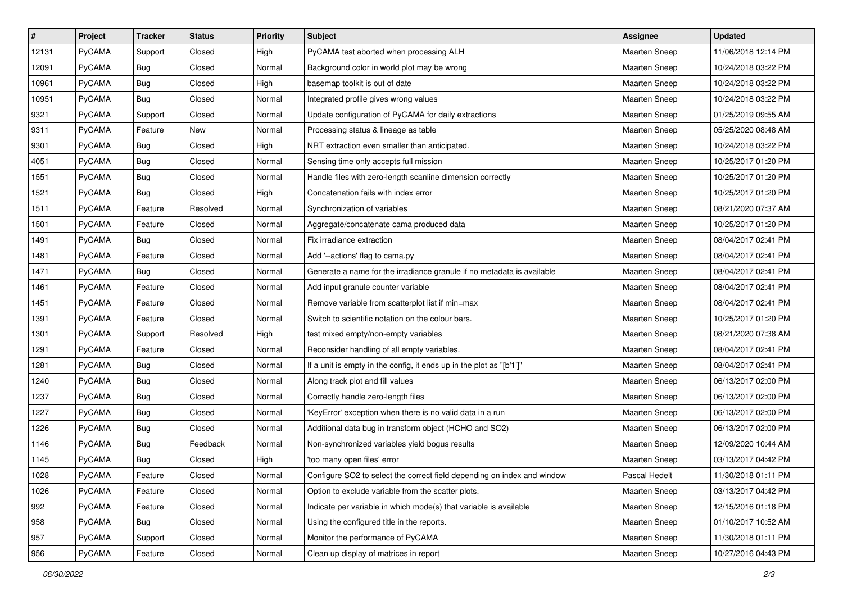| $\sharp$ | Project | <b>Tracker</b> | <b>Status</b> | <b>Priority</b> | <b>Subject</b>                                                          | Assignee             | <b>Updated</b>      |
|----------|---------|----------------|---------------|-----------------|-------------------------------------------------------------------------|----------------------|---------------------|
| 12131    | PyCAMA  | Support        | Closed        | High            | PyCAMA test aborted when processing ALH                                 | Maarten Sneep        | 11/06/2018 12:14 PM |
| 12091    | PyCAMA  | Bug            | Closed        | Normal          | Background color in world plot may be wrong                             | <b>Maarten Sneep</b> | 10/24/2018 03:22 PM |
| 10961    | PyCAMA  | <b>Bug</b>     | Closed        | High            | basemap toolkit is out of date                                          | Maarten Sneep        | 10/24/2018 03:22 PM |
| 10951    | PyCAMA  | Bug            | Closed        | Normal          | Integrated profile gives wrong values                                   | <b>Maarten Sneep</b> | 10/24/2018 03:22 PM |
| 9321     | PyCAMA  | Support        | Closed        | Normal          | Update configuration of PyCAMA for daily extractions                    | Maarten Sneep        | 01/25/2019 09:55 AM |
| 9311     | PyCAMA  | Feature        | New           | Normal          | Processing status & lineage as table                                    | <b>Maarten Sneep</b> | 05/25/2020 08:48 AM |
| 9301     | PyCAMA  | <b>Bug</b>     | Closed        | High            | NRT extraction even smaller than anticipated.                           | <b>Maarten Sneep</b> | 10/24/2018 03:22 PM |
| 4051     | PyCAMA  | <b>Bug</b>     | Closed        | Normal          | Sensing time only accepts full mission                                  | Maarten Sneep        | 10/25/2017 01:20 PM |
| 1551     | PyCAMA  | Bug            | Closed        | Normal          | Handle files with zero-length scanline dimension correctly              | Maarten Sneep        | 10/25/2017 01:20 PM |
| 1521     | PyCAMA  | <b>Bug</b>     | Closed        | High            | Concatenation fails with index error                                    | Maarten Sneep        | 10/25/2017 01:20 PM |
| 1511     | PyCAMA  | Feature        | Resolved      | Normal          | Synchronization of variables                                            | <b>Maarten Sneep</b> | 08/21/2020 07:37 AM |
| 1501     | PyCAMA  | Feature        | Closed        | Normal          | Aggregate/concatenate cama produced data                                | <b>Maarten Sneep</b> | 10/25/2017 01:20 PM |
| 1491     | PyCAMA  | Bug            | Closed        | Normal          | Fix irradiance extraction                                               | <b>Maarten Sneep</b> | 08/04/2017 02:41 PM |
| 1481     | PyCAMA  | Feature        | Closed        | Normal          | Add '--actions' flag to cama.py                                         | Maarten Sneep        | 08/04/2017 02:41 PM |
| 1471     | PyCAMA  | <b>Bug</b>     | Closed        | Normal          | Generate a name for the irradiance granule if no metadata is available  | <b>Maarten Sneep</b> | 08/04/2017 02:41 PM |
| 1461     | PyCAMA  | Feature        | Closed        | Normal          | Add input granule counter variable                                      | <b>Maarten Sneep</b> | 08/04/2017 02:41 PM |
| 1451     | PyCAMA  | Feature        | Closed        | Normal          | Remove variable from scatterplot list if min=max                        | <b>Maarten Sneep</b> | 08/04/2017 02:41 PM |
| 1391     | PyCAMA  | Feature        | Closed        | Normal          | Switch to scientific notation on the colour bars.                       | <b>Maarten Sneep</b> | 10/25/2017 01:20 PM |
| 1301     | PyCAMA  | Support        | Resolved      | High            | test mixed empty/non-empty variables                                    | <b>Maarten Sneep</b> | 08/21/2020 07:38 AM |
| 1291     | PyCAMA  | Feature        | Closed        | Normal          | Reconsider handling of all empty variables.                             | <b>Maarten Sneep</b> | 08/04/2017 02:41 PM |
| 1281     | PyCAMA  | <b>Bug</b>     | Closed        | Normal          | If a unit is empty in the config, it ends up in the plot as "[b'1']"    | <b>Maarten Sneep</b> | 08/04/2017 02:41 PM |
| 1240     | PyCAMA  | Bug            | Closed        | Normal          | Along track plot and fill values                                        | Maarten Sneep        | 06/13/2017 02:00 PM |
| 1237     | PyCAMA  | <b>Bug</b>     | Closed        | Normal          | Correctly handle zero-length files                                      | <b>Maarten Sneep</b> | 06/13/2017 02:00 PM |
| 1227     | PyCAMA  | <b>Bug</b>     | Closed        | Normal          | 'KeyError' exception when there is no valid data in a run               | <b>Maarten Sneep</b> | 06/13/2017 02:00 PM |
| 1226     | PyCAMA  | <b>Bug</b>     | Closed        | Normal          | Additional data bug in transform object (HCHO and SO2)                  | Maarten Sneep        | 06/13/2017 02:00 PM |
| 1146     | PyCAMA  | Bug            | Feedback      | Normal          | Non-synchronized variables yield bogus results                          | <b>Maarten Sneep</b> | 12/09/2020 10:44 AM |
| 1145     | PyCAMA  | Bug            | Closed        | High            | 'too many open files' error                                             | Maarten Sneep        | 03/13/2017 04:42 PM |
| 1028     | PyCAMA  | Feature        | Closed        | Normal          | Configure SO2 to select the correct field depending on index and window | Pascal Hedelt        | 11/30/2018 01:11 PM |
| 1026     | PyCAMA  | Feature        | Closed        | Normal          | Option to exclude variable from the scatter plots.                      | <b>Maarten Sneep</b> | 03/13/2017 04:42 PM |
| 992      | PyCAMA  | Feature        | Closed        | Normal          | Indicate per variable in which mode(s) that variable is available       | <b>Maarten Sneep</b> | 12/15/2016 01:18 PM |
| 958      | PyCAMA  | Bug            | Closed        | Normal          | Using the configured title in the reports.                              | Maarten Sneep        | 01/10/2017 10:52 AM |
| 957      | PyCAMA  | Support        | Closed        | Normal          | Monitor the performance of PyCAMA                                       | Maarten Sneep        | 11/30/2018 01:11 PM |
| 956      | PyCAMA  | Feature        | Closed        | Normal          | Clean up display of matrices in report                                  | Maarten Sneep        | 10/27/2016 04:43 PM |